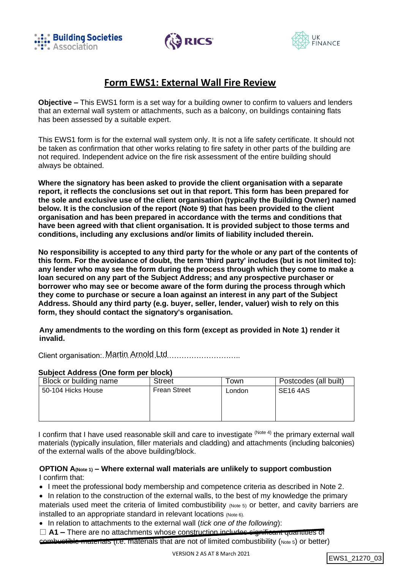





# **Form EWS1: External Wall Fire Review**

**Objective –** This EWS1 form is a set way for a building owner to confirm to valuers and lenders that an external wall system or attachments, such as a balcony, on buildings containing flats has been assessed by a suitable expert.

This EWS1 form is for the external wall system only. It is not a life safety certificate. It should not be taken as confirmation that other works relating to fire safety in other parts of the building are not required. Independent advice on the fire risk assessment of the entire building should always be obtained.

**Where the signatory has been asked to provide the client organisation with a separate report, it reflects the conclusions set out in that report. This form has been prepared for the sole and exclusive use of the client organisation (typically the Building Owner) named below. It is the conclusion of the report (Note 9) that has been provided to the client organisation and has been prepared in accordance with the terms and conditions that have been agreed with that client organisation. It is provided subject to those terms and conditions, including any exclusions and/or limits of liability included therein.**

**No responsibility is accepted to any third party for the whole or any part of the contents of this form. For the avoidance of doubt, the term 'third party' includes (but is not limited to): any lender who may see the form during the process through which they come to make a loan secured on any part of the Subject Address; and any prospective purchaser or borrower who may see or become aware of the form during the process through which they come to purchase or secure a loan against an interest in any part of the Subject Address. Should any third party (e.g. buyer, seller, lender, valuer) wish to rely on this form, they should contact the signatory's organisation.**

**Any amendments to the wording on this form (except as provided in Note 1) render it invalid.**

Client organisation: Martin Arnold Ltd............................

#### **Subject Address (One form per block)**

| Block or building name | <b>Street</b>       | ⊺own   | Postcodes (all built) |
|------------------------|---------------------|--------|-----------------------|
| 50-104 Hicks House     | <b>Frean Street</b> | London | <b>SE16 4AS</b>       |
|                        |                     |        |                       |
|                        |                     |        |                       |
|                        |                     |        |                       |

I confirm that I have used reasonable skill and care to investigate <sup>(Note 4)</sup> the primary external wall materials (typically insulation, filler materials and cladding) and attachments (including balconies) of the external walls of the above building/block.

## **OPTION A(Note 1) – Where external wall materials are unlikely to support combustion** I confirm that:

• I meet the professional body membership and competence criteria as described in Note 2.

- In relation to the construction of the external walls, to the best of my knowledge the primary materials used meet the criteria of limited combustibility (Note 5) or better, and cavity barriers are installed to an appropriate standard in relevant locations (Note 6).
- In relation to attachments to the external wall (*tick one of the following*):
- □ **A1** There are no attachments whose construction includes significant quantities of combustible materials (i.e. materials that are not of limited combustibility (Note 5) or better)

```
EWS1_21270_03
```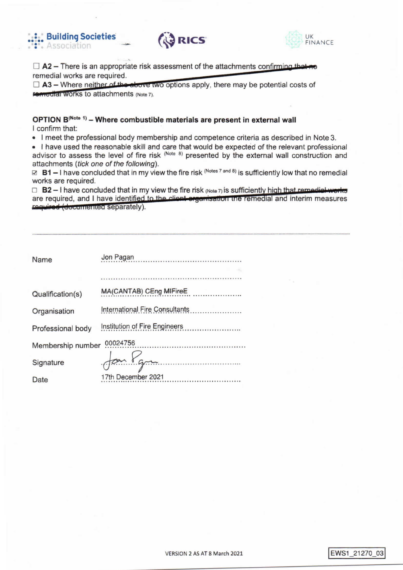





 $\Box$  A2 – There is an appropriate risk assessment of the attachments confirming that no remedial works are required.

 $\Box$  A3 – Where neither of the above two options apply, there may be potential costs of **remedial Works to attachments (Note 7).** 

# OPTION B(Note 1) - Where combustible materials are present in external wall I confirm that:

. I meet the professional body membership and competence criteria as described in Note 3.

. I have used the reasonable skill and care that would be expected of the relevant professional advisor to assess the level of fire risk (Note 8) presented by the external wall construction and attachments (tick one of the following).

⊠ B1 – I have concluded that in my view the fire risk (Notes 7 and 8) is sufficiently low that no remedial works are required.

 $\Box$  B2 - I have concluded that in my view the fire risk (Note 7) is sufficiently high that remodial works are required, and I have identified to the client organisation the remedial and interim measures required (documented separately).

| Name                          | Jon Pagan<br>.                                                             |  |
|-------------------------------|----------------------------------------------------------------------------|--|
|                               |                                                                            |  |
|                               |                                                                            |  |
| Qualification(s)              | MA(CANTAB) CEng MIFireE<br>and the company's company's company's company's |  |
| Organisation                  | International Fire Consultants                                             |  |
| Professional body             | Institution of Fire Engineers                                              |  |
| 00024756<br>Membership number |                                                                            |  |
| Signature                     | fon Ygre                                                                   |  |
| Date                          | 17th December 2021                                                         |  |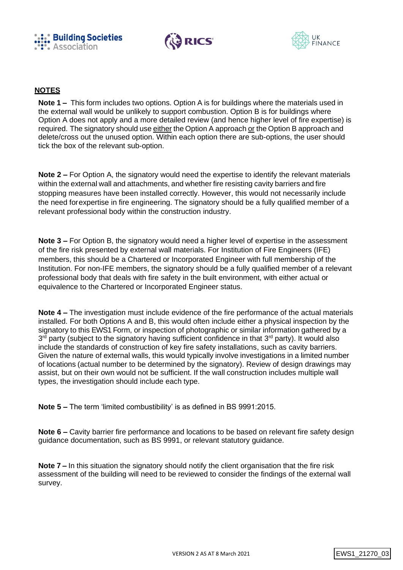





# **NOTES**

**Note 1 –** This form includes two options. Option A is for buildings where the materials used in the external wall would be unlikely to support combustion. Option B is for buildings where Option A does not apply and a more detailed review (and hence higher level of fire expertise) is required. The signatory should use either the Option A approach or the Option B approach and delete/cross out the unused option. Within each option there are sub-options, the user should tick the box of the relevant sub-option.

**Note 2 –** For Option A, the signatory would need the expertise to identify the relevant materials within the external wall and attachments, and whether fire resisting cavity barriers and fire stopping measures have been installed correctly. However, this would not necessarily include the need forexpertise in fire engineering. The signatory should be a fully qualified member of a relevant professional body within the construction industry.

**Note 3 –** For Option B, the signatory would need a higher level of expertise in the assessment of the fire risk presented by external wall materials. For Institution of Fire Engineers (IFE) members, this should be a Chartered or Incorporated Engineer with full membership of the Institution. For non-IFE members, the signatory should be a fully qualified member of a relevant professional body that deals with fire safety in the built environment, with either actual or equivalence to the Chartered or Incorporated Engineer status.

**Note 4 –** The investigation must include evidence of the fire performance of the actual materials installed. For both Options A and B, this would often include either a physical inspection by the signatory to this EWS1 Form, or inspection of photographic or similar information gathered by a 3<sup>rd</sup> party (subject to the signatory having sufficient confidence in that 3<sup>rd</sup> party). It would also include the standards of construction of key fire safety installations, such as cavity barriers. Given the nature of external walls, this would typically involve investigations in a limited number of locations (actual number to be determined by the signatory). Review of design drawings may assist, but on their own would not be sufficient. If the wall construction includes multiple wall types, the investigation should include each type.

**Note 5 –** The term 'limited combustibility' is as defined in BS 9991:2015.

**Note 6 –** Cavity barrier fire performance and locations to be based on relevant fire safety design guidance documentation, such as BS 9991, or relevant statutory guidance.

**Note 7 –** In this situation the signatory should notify the client organisation that the fire risk assessment of the building will need to be reviewed to consider the findings of the external wall survey.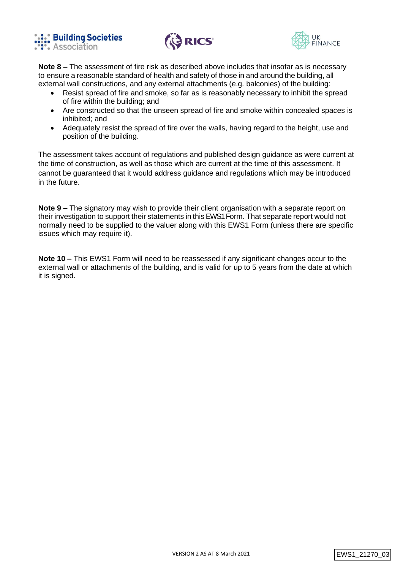





**Note 8 –** The assessment of fire risk as described above includes that insofar as is necessary to ensure a reasonable standard of health and safety of those in and around the building, all external wall constructions, and any external attachments (e.g. balconies) of the building:

- Resist spread of fire and smoke, so far as is reasonably necessary to inhibit the spread of fire within the building; and
- Are constructed so that the unseen spread of fire and smoke within concealed spaces is inhibited; and
- Adequately resist the spread of fire over the walls, having regard to the height, use and position of the building.

The assessment takes account of regulations and published design guidance as were current at the time of construction, as well as those which are current at the time of this assessment. It cannot be guaranteed that it would address guidance and regulations which may be introduced in the future.

**Note 9 –** The signatory may wish to provide their client organisation with a separate report on their investigation to support their statements in this EWS1 Form. That separate report would not normally need to be supplied to the valuer along with this EWS1 Form (unless there are specific issues which may require it).

**Note 10 –** This EWS1 Form will need to be reassessed if any significant changes occur to the external wall or attachments of the building, and is valid for up to 5 years from the date at which it is signed.